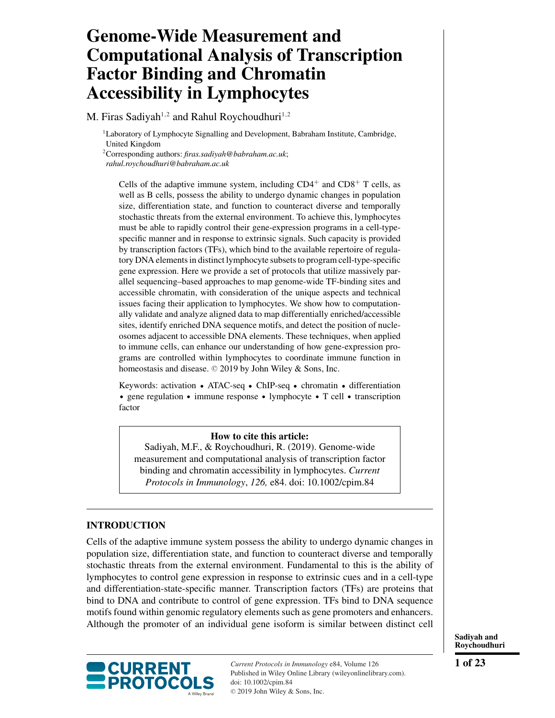# **Genome-Wide Measurement and Computational Analysis of Transcription Factor Binding and Chromatin Accessibility in Lymphocytes**

M. Firas Sadiyah<sup>1,2</sup> and Rahul Roychoudhuri<sup>1,2</sup>

<sup>1</sup>Laboratory of Lymphocyte Signalling and Development, Babraham Institute, Cambridge, United Kingdom

2Corresponding authors: *firas.sadiyah@babraham.ac.uk*;

*rahul.roychoudhuri@babraham.ac.uk*

Cells of the adaptive immune system, including  $CD4^+$  and  $CD8^+$  T cells, as well as B cells, possess the ability to undergo dynamic changes in population size, differentiation state, and function to counteract diverse and temporally stochastic threats from the external environment. To achieve this, lymphocytes must be able to rapidly control their gene-expression programs in a cell-typespecific manner and in response to extrinsic signals. Such capacity is provided by transcription factors (TFs), which bind to the available repertoire of regulatory DNA elements in distinct lymphocyte subsets to program cell-type-specific gene expression. Here we provide a set of protocols that utilize massively parallel sequencing–based approaches to map genome-wide TF-binding sites and accessible chromatin, with consideration of the unique aspects and technical issues facing their application to lymphocytes. We show how to computationally validate and analyze aligned data to map differentially enriched/accessible sites, identify enriched DNA sequence motifs, and detect the position of nucleosomes adjacent to accessible DNA elements. These techniques, when applied to immune cells, can enhance our understanding of how gene-expression programs are controlled within lymphocytes to coordinate immune function in homeostasis and disease. © 2019 by John Wiley & Sons, Inc.

Keywords: activation • ATAC-seq • ChIP-seq • chromatin • differentiation gene regulation • immune response • lymphocyte • T cell • transcription factor

### **How to cite this article:**

Sadiyah, M.F., & Roychoudhuri, R. (2019). Genome-wide measurement and computational analysis of transcription factor binding and chromatin accessibility in lymphocytes. *Current Protocols in Immunology*, *126,* e84. doi: [10.1002/cpim.84](https://doi.org/10.1002/cpim.84)

# **INTRODUCTION**

Cells of the adaptive immune system possess the ability to undergo dynamic changes in population size, differentiation state, and function to counteract diverse and temporally stochastic threats from the external environment. Fundamental to this is the ability of lymphocytes to control gene expression in response to extrinsic cues and in a cell-type and differentiation-state-specific manner. Transcription factors (TFs) are proteins that bind to DNA and contribute to control of gene expression. TFs bind to DNA sequence motifs found within genomic regulatory elements such as gene promoters and enhancers. Although the promoter of an individual gene isoform is similar between distinct cell



*Current Protocols in Immunology* e84, Volume 126 Published in Wiley Online Library (wileyonlinelibrary.com). doi: 10.1002/cpim.84 -<sup>C</sup> 2019 John Wiley & Sons, Inc.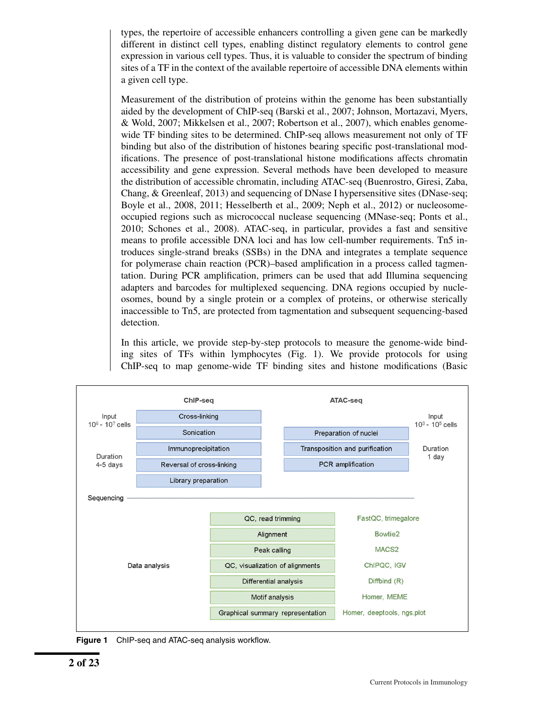types, the repertoire of accessible enhancers controlling a given gene can be markedly different in distinct cell types, enabling distinct regulatory elements to control gene expression in various cell types. Thus, it is valuable to consider the spectrum of binding sites of a TF in the context of the available repertoire of accessible DNA elements within a given cell type.

Measurement of the distribution of proteins within the genome has been substantially aided by the development of ChIP-seq (Barski et al., 2007; Johnson, Mortazavi, Myers, & Wold, 2007; Mikkelsen et al., 2007; Robertson et al., 2007), which enables genomewide TF binding sites to be determined. ChIP-seq allows measurement not only of TF binding but also of the distribution of histones bearing specific post-translational modifications. The presence of post-translational histone modifications affects chromatin accessibility and gene expression. Several methods have been developed to measure the distribution of accessible chromatin, including ATAC-seq (Buenrostro, Giresi, Zaba, Chang, & Greenleaf, 2013) and sequencing of DNase I hypersensitive sites (DNase-seq; Boyle et al., 2008, 2011; Hesselberth et al., 2009; Neph et al., 2012) or nucleosomeoccupied regions such as micrococcal nuclease sequencing (MNase-seq; Ponts et al., 2010; Schones et al., 2008). ATAC-seq, in particular, provides a fast and sensitive means to profile accessible DNA loci and has low cell-number requirements. Tn5 introduces single-strand breaks (SSBs) in the DNA and integrates a template sequence for polymerase chain reaction (PCR)–based amplification in a process called tagmentation. During PCR amplification, primers can be used that add Illumina sequencing adapters and barcodes for multiplexed sequencing. DNA regions occupied by nucleosomes, bound by a single protein or a complex of proteins, or otherwise sterically inaccessible to Tn5, are protected from tagmentation and subsequent sequencing-based detection.

In this article, we provide step-by-step protocols to measure the genome-wide binding sites of TFs within lymphocytes (Fig. 1). We provide protocols for using ChIP-seq to map genome-wide TF binding sites and histone modifications (Basic



**Figure 1** ChIP-seq and ATAC-seq analysis workflow.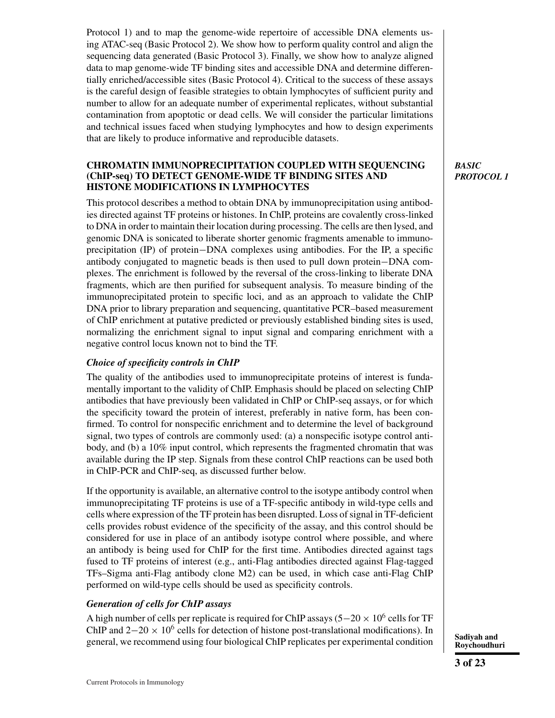Protocol 1) and to map the genome-wide repertoire of accessible DNA elements using ATAC-seq (Basic Protocol 2). We show how to perform quality control and align the sequencing data generated (Basic Protocol 3). Finally, we show how to analyze aligned data to map genome-wide TF binding sites and accessible DNA and determine differentially enriched/accessible sites (Basic Protocol 4). Critical to the success of these assays is the careful design of feasible strategies to obtain lymphocytes of sufficient purity and number to allow for an adequate number of experimental replicates, without substantial contamination from apoptotic or dead cells. We will consider the particular limitations and technical issues faced when studying lymphocytes and how to design experiments that are likely to produce informative and reproducible datasets.

#### **CHROMATIN IMMUNOPRECIPITATION COUPLED WITH SEQUENCING (ChIP-seq) TO DETECT GENOME-WIDE TF BINDING SITES AND HISTONE MODIFICATIONS IN LYMPHOCYTES**

This protocol describes a method to obtain DNA by immunoprecipitation using antibodies directed against TF proteins or histones. In ChIP, proteins are covalently cross-linked to DNA in order to maintain their location during processing. The cells are then lysed, and genomic DNA is sonicated to liberate shorter genomic fragments amenable to immunoprecipitation (IP) of protein−DNA complexes using antibodies. For the IP, a specific antibody conjugated to magnetic beads is then used to pull down protein−DNA complexes. The enrichment is followed by the reversal of the cross-linking to liberate DNA fragments, which are then purified for subsequent analysis. To measure binding of the immunoprecipitated protein to specific loci, and as an approach to validate the ChIP DNA prior to library preparation and sequencing, quantitative PCR–based measurement of ChIP enrichment at putative predicted or previously established binding sites is used, normalizing the enrichment signal to input signal and comparing enrichment with a negative control locus known not to bind the TF.

### *Choice of specificity controls in ChIP*

The quality of the antibodies used to immunoprecipitate proteins of interest is fundamentally important to the validity of ChIP. Emphasis should be placed on selecting ChIP antibodies that have previously been validated in ChIP or ChIP-seq assays, or for which the specificity toward the protein of interest, preferably in native form, has been confirmed. To control for nonspecific enrichment and to determine the level of background signal, two types of controls are commonly used: (a) a nonspecific isotype control antibody, and (b) a 10% input control, which represents the fragmented chromatin that was available during the IP step. Signals from these control ChIP reactions can be used both in ChIP-PCR and ChIP-seq, as discussed further below.

If the opportunity is available, an alternative control to the isotype antibody control when immunoprecipitating TF proteins is use of a TF-specific antibody in wild-type cells and cells where expression of the TF protein has been disrupted. Loss of signal in TF-deficient cells provides robust evidence of the specificity of the assay, and this control should be considered for use in place of an antibody isotype control where possible, and where an antibody is being used for ChIP for the first time. Antibodies directed against tags fused to TF proteins of interest (e.g., anti-Flag antibodies directed against Flag-tagged TFs–Sigma anti-Flag antibody clone M2) can be used, in which case anti-Flag ChIP performed on wild-type cells should be used as specificity controls.

### *Generation of cells for ChIP assays*

A high number of cells per replicate is required for ChIP assays (5 $-20 \times 10^6$  cells for TF ChIP and  $2-20 \times 10^6$  cells for detection of histone post-translational modifications). In general, we recommend using four biological ChIP replicates per experimental condition **Sadiyah and**<br> **Sadiyah and** 

*BASIC PROTOCOL 1*

**Roychoudhuri**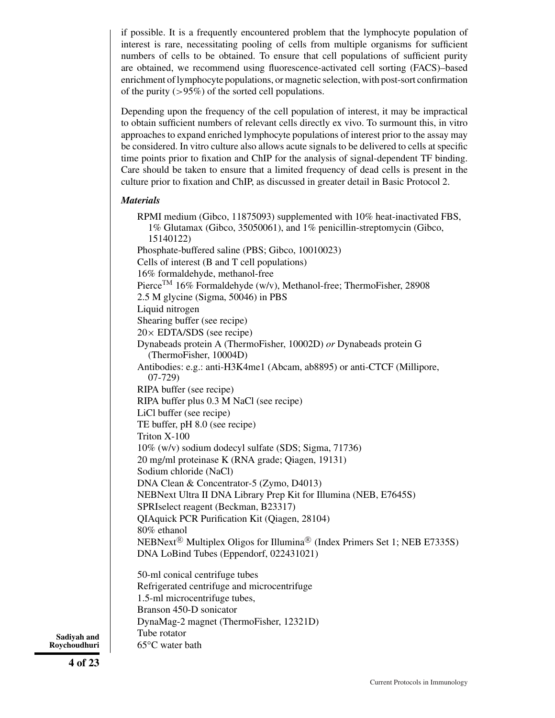if possible. It is a frequently encountered problem that the lymphocyte population of interest is rare, necessitating pooling of cells from multiple organisms for sufficient numbers of cells to be obtained. To ensure that cell populations of sufficient purity are obtained, we recommend using fluorescence-activated cell sorting (FACS)–based enrichment of lymphocyte populations, or magnetic selection, with post-sort confirmation of the purity  $(>95\%)$  of the sorted cell populations.

Depending upon the frequency of the cell population of interest, it may be impractical to obtain sufficient numbers of relevant cells directly ex vivo. To surmount this, in vitro approaches to expand enriched lymphocyte populations of interest prior to the assay may be considered. In vitro culture also allows acute signals to be delivered to cells at specific time points prior to fixation and ChIP for the analysis of signal-dependent TF binding. Care should be taken to ensure that a limited frequency of dead cells is present in the culture prior to fixation and ChIP, as discussed in greater detail in Basic Protocol 2.

### *Materials*

RPMI medium (Gibco, 11875093) supplemented with 10% heat-inactivated FBS, 1% Glutamax (Gibco, 35050061), and 1% penicillin-streptomycin (Gibco, 15140122) Phosphate-buffered saline (PBS; Gibco, 10010023) Cells of interest (B and T cell populations) 16% formaldehyde, methanol-free Pierce<sup>TM</sup> 16% Formaldehyde (w/v), Methanol-free; ThermoFisher, 28908 2.5 M glycine (Sigma, 50046) in PBS Liquid nitrogen Shearing buffer (see recipe)  $20 \times$  EDTA/SDS (see recipe) Dynabeads protein A (ThermoFisher, 10002D) *or* Dynabeads protein G (ThermoFisher, 10004D) Antibodies: e.g.: anti-H3K4me1 (Abcam, ab8895) or anti-CTCF (Millipore, 07-729) RIPA buffer (see recipe) RIPA buffer plus 0.3 M NaCl (see recipe) LiCl buffer (see recipe) TE buffer, pH 8.0 (see recipe) Triton X-100 10% (w/v) sodium dodecyl sulfate (SDS; Sigma, 71736) 20 mg/ml proteinase K (RNA grade; Qiagen, 19131) Sodium chloride (NaCl) DNA Clean & Concentrator-5 (Zymo, D4013) NEBNext Ultra II DNA Library Prep Kit for Illumina (NEB, E7645S) SPRIselect reagent (Beckman, B23317) QIAquick PCR Purification Kit (Qiagen, 28104) 80% ethanol NEBNext<sup>®</sup> Multiplex Oligos for Illumina® (Index Primers Set 1; NEB E7335S) DNA LoBind Tubes (Eppendorf, 022431021) 50-ml conical centrifuge tubes

Refrigerated centrifuge and microcentrifuge 1.5-ml microcentrifuge tubes, Branson 450-D sonicator DynaMag-2 magnet (ThermoFisher, 12321D) Tube rotator 65°C water bath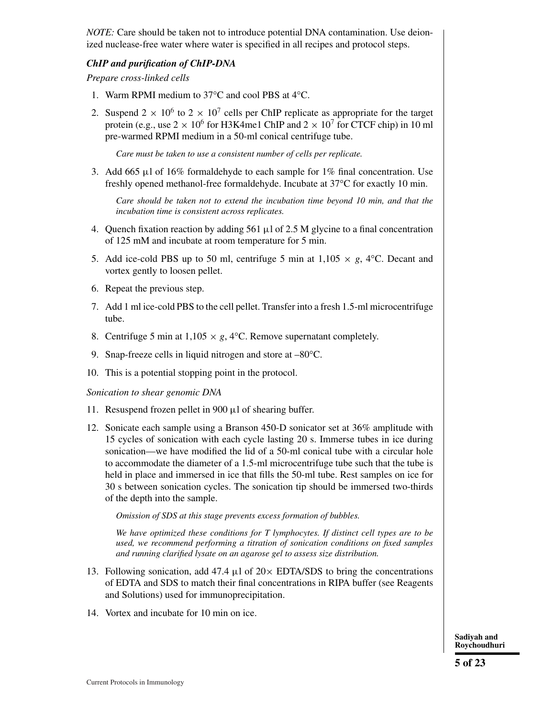*NOTE:* Care should be taken not to introduce potential DNA contamination. Use deionized nuclease-free water where water is specified in all recipes and protocol steps.

#### *ChIP and purification of ChIP-DNA*

*Prepare cross-linked cells*

- 1. Warm RPMI medium to 37°C and cool PBS at 4°C.
- 2. Suspend  $2 \times 10^6$  to  $2 \times 10^7$  cells per ChIP replicate as appropriate for the target protein (e.g., use  $2 \times 10^6$  for H3K4me1 ChIP and  $2 \times 10^7$  for CTCF chip) in 10 ml pre-warmed RPMI medium in a 50-ml conical centrifuge tube.

*Care must be taken to use a consistent number of cells per replicate.*

3. Add 665 μl of  $16\%$  formaldehyde to each sample for  $1\%$  final concentration. Use freshly opened methanol-free formaldehyde. Incubate at 37°C for exactly 10 min.

*Care should be taken not to extend the incubation time beyond 10 min, and that the incubation time is consistent across replicates.*

- 4. Quench fixation reaction by adding  $561 \mu l$  of 2.5 M glycine to a final concentration of 125 mM and incubate at room temperature for 5 min.
- 5. Add ice-cold PBS up to 50 ml, centrifuge 5 min at  $1,105 \times g$ , 4<sup>o</sup>C. Decant and vortex gently to loosen pellet.
- 6. Repeat the previous step.
- 7. Add 1 ml ice-cold PBS to the cell pellet. Transfer into a fresh 1.5-ml microcentrifuge tube.
- 8. Centrifuge 5 min at  $1,105 \times g$ , 4°C. Remove supernatant completely.
- 9. Snap-freeze cells in liquid nitrogen and store at –80°C.
- 10. This is a potential stopping point in the protocol.

#### *Sonication to shear genomic DNA*

- 11. Resuspend frozen pellet in 900 μl of shearing buffer.
- 12. Sonicate each sample using a Branson 450-D sonicator set at 36% amplitude with 15 cycles of sonication with each cycle lasting 20 s. Immerse tubes in ice during sonication—we have modified the lid of a 50-ml conical tube with a circular hole to accommodate the diameter of a 1.5-ml microcentrifuge tube such that the tube is held in place and immersed in ice that fills the 50-ml tube. Rest samples on ice for 30 s between sonication cycles. The sonication tip should be immersed two-thirds of the depth into the sample.

*Omission of SDS at this stage prevents excess formation of bubbles.*

*We have optimized these conditions for T lymphocytes. If distinct cell types are to be used, we recommend performing a titration of sonication conditions on fixed samples and running clarified lysate on an agarose gel to assess size distribution.*

- 13. Following sonication, add 47.4  $\mu$ l of 20 $\times$  EDTA/SDS to bring the concentrations of EDTA and SDS to match their final concentrations in RIPA buffer (see Reagents and Solutions) used for immunoprecipitation.
- 14. Vortex and incubate for 10 min on ice.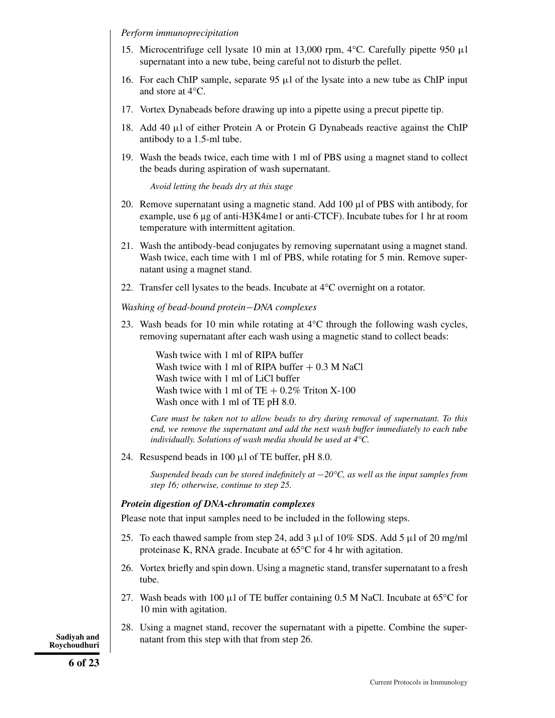*Perform immunoprecipitation*

- 15. Microcentrifuge cell lysate 10 min at 13,000 rpm, 4°C. Carefully pipette 950 μl supernatant into a new tube, being careful not to disturb the pellet.
- 16. For each ChIP sample, separate  $95 \mu l$  of the lysate into a new tube as ChIP input and store at 4°C.
- 17. Vortex Dynabeads before drawing up into a pipette using a precut pipette tip.
- 18. Add 40 μl of either Protein A or Protein G Dynabeads reactive against the ChIP antibody to a 1.5-ml tube.
- 19. Wash the beads twice, each time with 1 ml of PBS using a magnet stand to collect the beads during aspiration of wash supernatant.

*Avoid letting the beads dry at this stage*

- 20. Remove supernatant using a magnetic stand. Add 100 µl of PBS with antibody, for example, use 6 µg of anti-H3K4me1 or anti-CTCF). Incubate tubes for 1 hr at room temperature with intermittent agitation.
- 21. Wash the antibody-bead conjugates by removing supernatant using a magnet stand. Wash twice, each time with 1 ml of PBS, while rotating for 5 min. Remove supernatant using a magnet stand.
- 22. Transfer cell lysates to the beads. Incubate at 4°C overnight on a rotator.

*Washing of bead-bound protein*−*DNA complexes*

23. Wash beads for 10 min while rotating at 4°C through the following wash cycles, removing supernatant after each wash using a magnetic stand to collect beads:

Wash twice with 1 ml of RIPA buffer Wash twice with 1 ml of RIPA buffer  $+ 0.3$  M NaCl Wash twice with 1 ml of LiCl buffer Wash twice with 1 ml of  $TE + 0.2\%$  Triton X-100 Wash once with 1 ml of TE pH 8.0.

*Care must be taken not to allow beads to dry during removal of supernatant. To this end, we remove the supernatant and add the next wash buffer immediately to each tube individually. Solutions of wash media should be used at 4°C.*

24. Resuspend beads in 100  $\mu$ l of TE buffer, pH 8.0.

*Suspended beads can be stored indefinitely at* −*20°C, as well as the input samples from step 16; otherwise, continue to step 25.*

#### *Protein digestion of DNA-chromatin complexes*

Please note that input samples need to be included in the following steps.

- 25. To each thawed sample from step 24, add 3  $\mu$ l of 10% SDS. Add 5  $\mu$ l of 20 mg/ml proteinase K, RNA grade. Incubate at 65°C for 4 hr with agitation.
- 26. Vortex briefly and spin down. Using a magnetic stand, transfer supernatant to a fresh tube.
- 27. Wash beads with 100  $\mu$ l of TE buffer containing 0.5 M NaCl. Incubate at 65 $\degree$ C for 10 min with agitation.
- 28. Using a magnet stand, recover the supernatant with a pipette. Combine the super-**Sadiyah and** natant from this step with that from step 26.

**Roychoudhuri**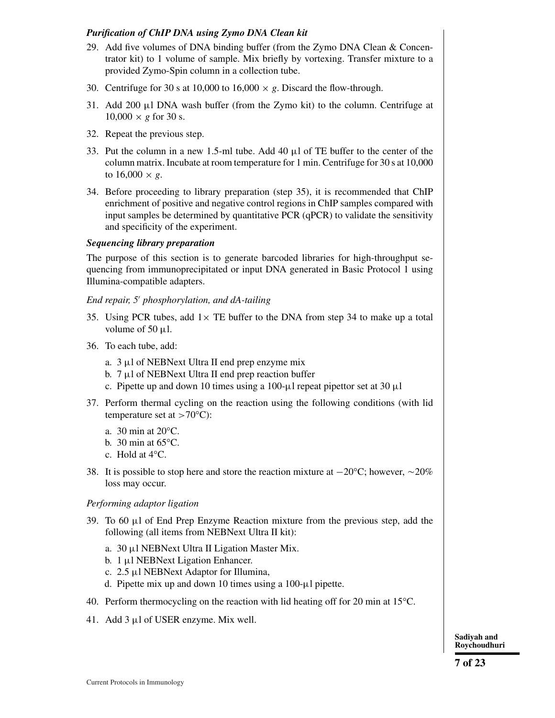# *Purification of ChIP DNA using Zymo DNA Clean kit*

- 29. Add five volumes of DNA binding buffer (from the Zymo DNA Clean & Concentrator kit) to 1 volume of sample. Mix briefly by vortexing. Transfer mixture to a provided Zymo-Spin column in a collection tube.
- 30. Centrifuge for 30 s at 10,000 to 16,000  $\times$  *g*. Discard the flow-through.
- 31. Add 200  $\mu$ 1 DNA wash buffer (from the Zymo kit) to the column. Centrifuge at  $10,000 \times g$  for 30 s.
- 32. Repeat the previous step.
- 33. Put the column in a new 1.5-ml tube. Add 40 μl of TE buffer to the center of the column matrix. Incubate at room temperature for 1 min. Centrifuge for 30 s at 10,000 to  $16,000 \times g$ .
- 34. Before proceeding to library preparation (step 35), it is recommended that ChIP enrichment of positive and negative control regions in ChIP samples compared with input samples be determined by quantitative PCR (qPCR) to validate the sensitivity and specificity of the experiment.

### *Sequencing library preparation*

The purpose of this section is to generate barcoded libraries for high-throughput sequencing from immunoprecipitated or input DNA generated in Basic Protocol 1 using Illumina-compatible adapters.

# *End repair, 5 phosphorylation, and dA-tailing*

- 35. Using PCR tubes, add  $1 \times$  TE buffer to the DNA from step 34 to make up a total volume of 50  $\mu$ l.
- 36. To each tube, add:
	- a. 3 μl of NEBNext Ultra II end prep enzyme mix
	- b.  $7 \mu$ l of NEBNext Ultra II end prep reaction buffer
	- c. Pipette up and down 10 times using a 100- $\mu$ l repeat pipettor set at 30  $\mu$ l
- 37. Perform thermal cycling on the reaction using the following conditions (with lid temperature set at  $>70^{\circ}$ C):
	- a. 30 min at 20°C.
	- b. 30 min at 65°C.
	- c. Hold at 4°C.
- 38. It is possible to stop here and store the reaction mixture at  $-20^{\circ}$ C; however,  $\sim$  20% loss may occur.

### *Performing adaptor ligation*

- 39. To 60 μl of End Prep Enzyme Reaction mixture from the previous step, add the following (all items from NEBNext Ultra II kit):
	- a. 30 μl NEBNext Ultra II Ligation Master Mix.
	- b. 1 μl NEBNext Ligation Enhancer.
	- c. 2.5 μl NEBNext Adaptor for Illumina,
	- d. Pipette mix up and down 10 times using a 100-μl pipette.
- 40. Perform thermocycling on the reaction with lid heating off for 20 min at 15°C.
- 41. Add 3 μl of USER enzyme. Mix well.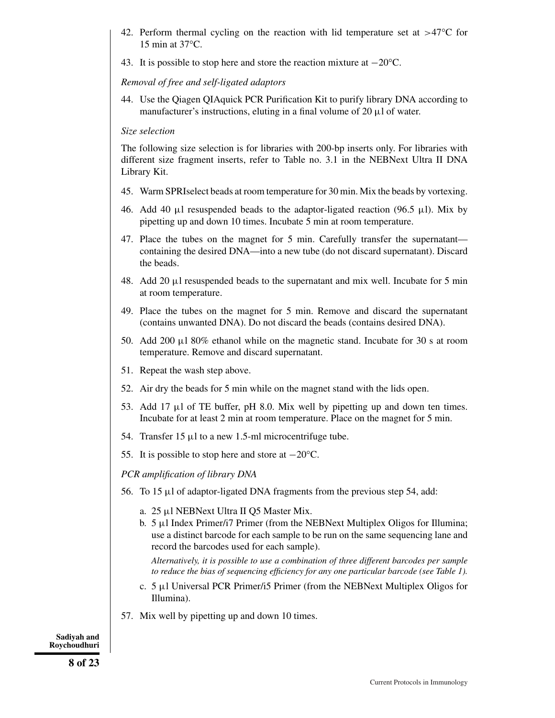- 42. Perform thermal cycling on the reaction with lid temperature set at  $>47^{\circ}$ C for 15 min at 37°C.
- 43. It is possible to stop here and store the reaction mixture at −20°C.

# *Removal of free and self-ligated adaptors*

44. Use the Qiagen QIAquick PCR Purification Kit to purify library DNA according to manufacturer's instructions, eluting in a final volume of 20 μl of water.

# *Size selection*

The following size selection is for libraries with 200-bp inserts only. For libraries with different size fragment inserts, refer to Table no. 3.1 in the NEBNext Ultra II DNA Library Kit.

- 45. Warm SPRIselect beads at room temperature for 30 min. Mix the beads by vortexing.
- 46. Add 40 μl resuspended beads to the adaptor-ligated reaction (96.5 μl). Mix by pipetting up and down 10 times. Incubate 5 min at room temperature.
- 47. Place the tubes on the magnet for 5 min. Carefully transfer the supernatant containing the desired DNA—into a new tube (do not discard supernatant). Discard the beads.
- 48. Add 20 μl resuspended beads to the supernatant and mix well. Incubate for 5 min at room temperature.
- 49. Place the tubes on the magnet for 5 min. Remove and discard the supernatant (contains unwanted DNA). Do not discard the beads (contains desired DNA).
- 50. Add 200  $\mu$ 1 80% ethanol while on the magnetic stand. Incubate for 30 s at room temperature. Remove and discard supernatant.
- 51. Repeat the wash step above.
- 52. Air dry the beads for 5 min while on the magnet stand with the lids open.
- 53. Add 17  $\mu$ l of TE buffer, pH 8.0. Mix well by pipetting up and down ten times. Incubate for at least 2 min at room temperature. Place on the magnet for 5 min.
- 54. Transfer  $15 \mu l$  to a new 1.5-ml microcentrifuge tube.
- 55. It is possible to stop here and store at −20°C.

*PCR amplification of library DNA*

- 56. To 15 μl of adaptor-ligated DNA fragments from the previous step 54, add:
	- a. 25 μl NEBNext Ultra II Q5 Master Mix.
	- b.  $5 \mu$ I Index Primer/i7 Primer (from the NEBNext Multiplex Oligos for Illumina; use a distinct barcode for each sample to be run on the same sequencing lane and record the barcodes used for each sample).

*Alternatively, it is possible to use a combination of three different barcodes per sample to reduce the bias of sequencing efficiency for any one particular barcode (see Table 1).*

- c. 5 μl Universal PCR Primer/i5 Primer (from the NEBNext Multiplex Oligos for Illumina).
- 57. Mix well by pipetting up and down 10 times.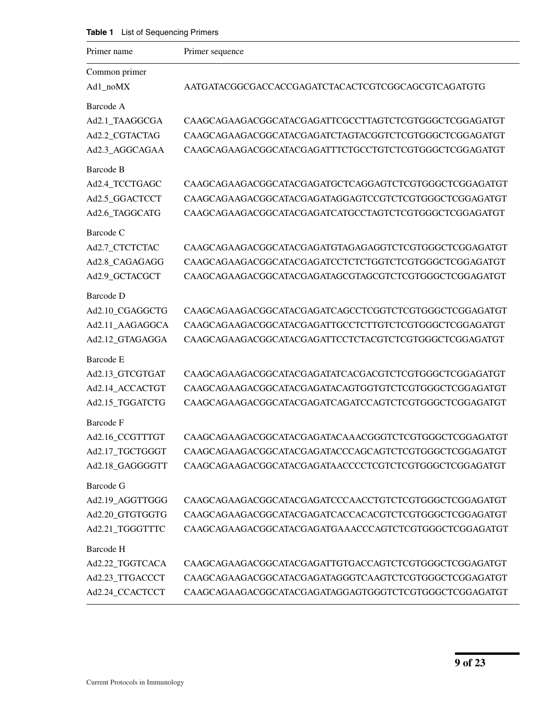**Table 1** List of Sequencing Primers

| Primer name               | Primer sequence                                       |
|---------------------------|-------------------------------------------------------|
| Common primer<br>Ad1_noMX | AATGATACGGCGACCACCGAGATCTACACTCGTCGGCAGCGTCAGATGTG    |
| Barcode A                 |                                                       |
| Ad2.1_TAAGGCGA            | CAAGCAGAAGACGGCATACGAGATTCGCCTTAGTCTCGTGGGCTCGGAGATGT |
| Ad2.2_CGTACTAG            | CAAGCAGAAGACGGCATACGAGATCTAGTACGGTCTCGTGGGCTCGGAGATGT |
| Ad2.3_AGGCAGAA            | CAAGCAGAAGACGGCATACGAGATTTCTGCCTGTCTCGTGGGCTCGGAGATGT |
| Barcode B                 |                                                       |
| Ad2.4_TCCTGAGC            | CAAGCAGAAGACGGCATACGAGATGCTCAGGAGTCTCGTGGGCTCGGAGATGT |
| Ad2.5_GGACTCCT            | CAAGCAGAAGACGGCATACGAGATAGGAGTCCGTCTCGTGGGCTCGGAGATGT |
| Ad2.6_TAGGCATG            | CAAGCAGAAGACGGCATACGAGATCATGCCTAGTCTCGTGGGCTCGGAGATGT |
| Barcode C                 |                                                       |
| Ad2.7_CTCTCTAC            | CAAGCAGAAGACGGCATACGAGATGTAGAGAGGTCTCGTGGGCTCGGAGATGT |
| Ad2.8_CAGAGAGG            | CAAGCAGAAGACGGCATACGAGATCCTCTCTGGTCTCGTGGGCTCGGAGATGT |
| Ad2.9_GCTACGCT            | CAAGCAGAAGACGGCATACGAGATAGCGTAGCGTCTCGTGGGCTCGGAGATGT |
| Barcode D                 |                                                       |
| Ad2.10_CGAGGCTG           | CAAGCAGAAGACGGCATACGAGATCAGCCTCGGTCTCGTGGGCTCGGAGATGT |
| Ad2.11_AAGAGGCA           | CAAGCAGAAGACGGCATACGAGATTGCCTCTTGTCTCGTGGGCTCGGAGATGT |
| Ad2.12_GTAGAGGA           | CAAGCAGAAGACGGCATACGAGATTCCTCTACGTCTCGTGGGCTCGGAGATGT |
| Barcode E                 |                                                       |
| Ad2.13_GTCGTGAT           | CAAGCAGAAGACGGCATACGAGATATCACGACGTCTCGTGGGCTCGGAGATGT |
| Ad2.14_ACCACTGT           | CAAGCAGAAGACGGCATACGAGATACAGTGGTGTCTCGTGGGCTCGGAGATGT |
| Ad2.15_TGGATCTG           | CAAGCAGAAGACGGCATACGAGATCAGATCCAGTCTCGTGGGCTCGGAGATGT |
| <b>Barcode F</b>          |                                                       |
| Ad2.16_CCGTTTGT           | CAAGCAGAAGACGGCATACGAGATACAAACGGGTCTCGTGGGCTCGGAGATGT |
| Ad2.17_TGCTGGGT           | CAAGCAGAAGACGGCATACGAGATACCCAGCAGTCTCGTGGGCTCGGAGATGT |
| Ad2.18_GAGGGGTT           |                                                       |
| <b>Barcode G</b>          |                                                       |
| Ad2.19_AGGTTGGG           | CAAGCAGAAGACGGCATACGAGATCCCAACCTGTCTCGTGGGCTCGGAGATGT |
| Ad2.20 GTGTGGTG           | CAAGCAGAAGACGGCATACGAGATCACCACACGTCTCGTGGGCTCGGAGATGT |
| Ad2.21_TGGGTTTC           | CAAGCAGAAGACGGCATACGAGATGAAACCCAGTCTCGTGGGCTCGGAGATGT |
| Barcode H                 |                                                       |
| Ad2.22_TGGTCACA           | CAAGCAGAAGACGGCATACGAGATTGTGACCAGTCTCGTGGGCTCGGAGATGT |
| Ad2.23_TTGACCCT           | CAAGCAGAAGACGGCATACGAGATAGGGTCAAGTCTCGTGGGCTCGGAGATGT |
| Ad2.24_CCACTCCT           | CAAGCAGAAGACGGCATACGAGATAGGAGTGGGTCTCGTGGGCTCGGAGATGT |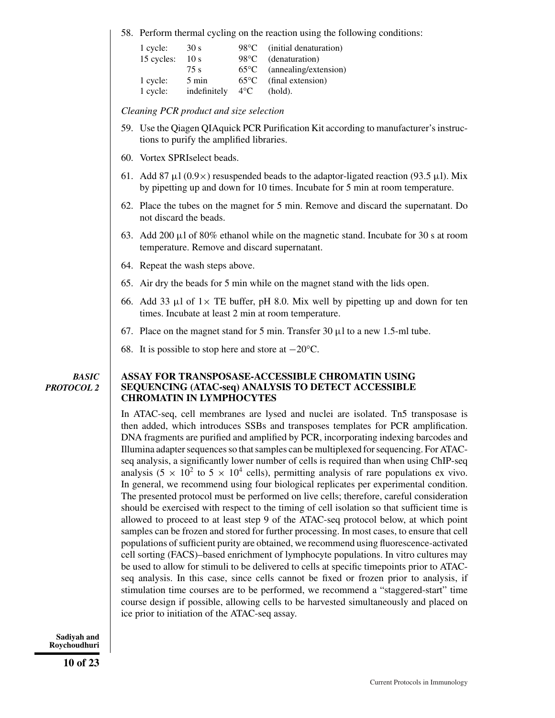58. Perform thermal cycling on the reaction using the following conditions:

| 1 cycle:<br>15 cycles: | 30 s<br>10 <sub>s</sub> | 98°C<br>$98^{\circ}$ C | (initial denaturation)<br>(denaturation) |
|------------------------|-------------------------|------------------------|------------------------------------------|
|                        | 75 s                    | $65^{\circ}$ C         | (annealing/extension)                    |
| 1 cycle:               | $5 \text{ min}$         | $65^{\circ}$ C         | (final extension)                        |
| 1 cycle:               | indefinitely            | $4^{\circ}C$           | (hold).                                  |

*Cleaning PCR product and size selection*

- 59. Use the Qiagen QIAquick PCR Purification Kit according to manufacturer's instructions to purify the amplified libraries.
- 60. Vortex SPRIselect beads.
- 61. Add 87 μl  $(0.9\times)$  resuspended beads to the adaptor-ligated reaction (93.5 μl). Mix by pipetting up and down for 10 times. Incubate for 5 min at room temperature.
- 62. Place the tubes on the magnet for 5 min. Remove and discard the supernatant. Do not discard the beads.
- 63. Add 200  $\mu$ l of 80% ethanol while on the magnetic stand. Incubate for 30 s at room temperature. Remove and discard supernatant.
- 64. Repeat the wash steps above.
- 65. Air dry the beads for 5 min while on the magnet stand with the lids open.
- 66. Add 33  $\mu$ l of 1  $\times$  TE buffer, pH 8.0. Mix well by pipetting up and down for ten times. Incubate at least 2 min at room temperature.
- 67. Place on the magnet stand for 5 min. Transfer  $30 \mu l$  to a new 1.5-ml tube.
- 68. It is possible to stop here and store at −20°C.

#### *BASIC PROTOCOL 2*

#### **ASSAY FOR TRANSPOSASE-ACCESSIBLE CHROMATIN USING SEQUENCING (ATAC-seq) ANALYSIS TO DETECT ACCESSIBLE CHROMATIN IN LYMPHOCYTES**

In ATAC-seq, cell membranes are lysed and nuclei are isolated. Tn5 transposase is then added, which introduces SSBs and transposes templates for PCR amplification. DNA fragments are purified and amplified by PCR, incorporating indexing barcodes and Illumina adapter sequences so that samples can be multiplexed for sequencing. For ATACseq analysis, a significantly lower number of cells is required than when using ChIP-seq analysis (5  $\times$  10<sup>2</sup> to 5  $\times$  10<sup>4</sup> cells), permitting analysis of rare populations ex vivo. In general, we recommend using four biological replicates per experimental condition. The presented protocol must be performed on live cells; therefore, careful consideration should be exercised with respect to the timing of cell isolation so that sufficient time is allowed to proceed to at least step 9 of the ATAC-seq protocol below, at which point samples can be frozen and stored for further processing. In most cases, to ensure that cell populations of sufficient purity are obtained, we recommend using fluorescence-activated cell sorting (FACS)–based enrichment of lymphocyte populations. In vitro cultures may be used to allow for stimuli to be delivered to cells at specific timepoints prior to ATACseq analysis. In this case, since cells cannot be fixed or frozen prior to analysis, if stimulation time courses are to be performed, we recommend a "staggered-start" time course design if possible, allowing cells to be harvested simultaneously and placed on ice prior to initiation of the ATAC-seq assay.

**Sadiyah and Roychoudhuri**

**10 of 23**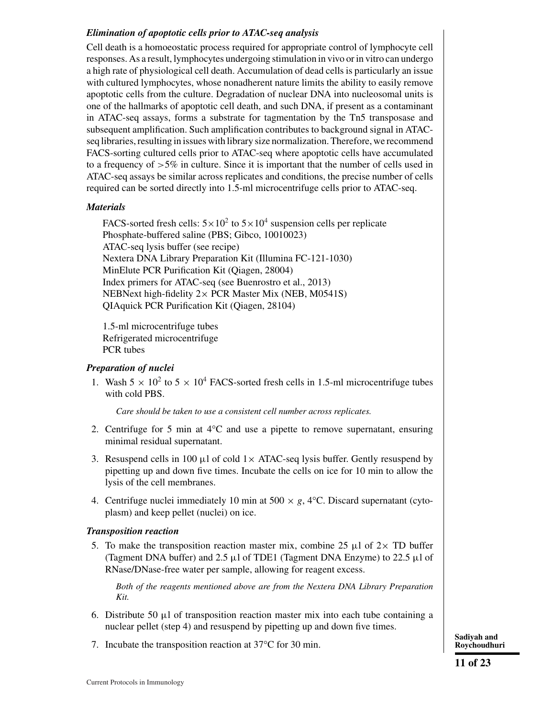# *Elimination of apoptotic cells prior to ATAC-seq analysis*

Cell death is a homoeostatic process required for appropriate control of lymphocyte cell responses. As a result, lymphocytes undergoing stimulation in vivo or in vitro can undergo a high rate of physiological cell death. Accumulation of dead cells is particularly an issue with cultured lymphocytes, whose nonadherent nature limits the ability to easily remove apoptotic cells from the culture. Degradation of nuclear DNA into nucleosomal units is one of the hallmarks of apoptotic cell death, and such DNA, if present as a contaminant in ATAC-seq assays, forms a substrate for tagmentation by the Tn5 transposase and subsequent amplification. Such amplification contributes to background signal in ATACseq libraries, resulting in issues with library size normalization. Therefore, we recommend FACS-sorting cultured cells prior to ATAC-seq where apoptotic cells have accumulated to a frequency of  $>5\%$  in culture. Since it is important that the number of cells used in ATAC-seq assays be similar across replicates and conditions, the precise number of cells required can be sorted directly into 1.5-ml microcentrifuge cells prior to ATAC-seq.

### *Materials*

FACS-sorted fresh cells:  $5 \times 10^2$  to  $5 \times 10^4$  suspension cells per replicate Phosphate-buffered saline (PBS; Gibco, 10010023) ATAC-seq lysis buffer (see recipe) Nextera DNA Library Preparation Kit (Illumina FC-121-1030) MinElute PCR Purification Kit (Qiagen, 28004) Index primers for ATAC-seq (see Buenrostro et al., 2013) NEBNext high-fidelity  $2 \times PCR$  Master Mix (NEB, M0541S) QIAquick PCR Purification Kit (Qiagen, 28104)

1.5-ml microcentrifuge tubes Refrigerated microcentrifuge PCR tubes

#### *Preparation of nuclei*

1. Wash  $5 \times 10^2$  to  $5 \times 10^4$  FACS-sorted fresh cells in 1.5-ml microcentrifuge tubes with cold PBS.

*Care should be taken to use a consistent cell number across replicates.*

- 2. Centrifuge for 5 min at 4°C and use a pipette to remove supernatant, ensuring minimal residual supernatant.
- 3. Resuspend cells in 100  $\mu$ l of cold 1 × ATAC-seq lysis buffer. Gently resuspend by pipetting up and down five times. Incubate the cells on ice for 10 min to allow the lysis of the cell membranes.
- 4. Centrifuge nuclei immediately 10 min at  $500 \times g$ , 4<sup>o</sup>C. Discard supernatant (cytoplasm) and keep pellet (nuclei) on ice.

#### *Transposition reaction*

5. To make the transposition reaction master mix, combine 25  $\mu$ l of 2× TD buffer (Tagment DNA buffer) and 2.5  $\mu$ l of TDE1 (Tagment DNA Enzyme) to 22.5  $\mu$ l of RNase/DNase-free water per sample, allowing for reagent excess.

*Both of the reagents mentioned above are from the Nextera DNA Library Preparation Kit.*

- 6. Distribute 50  $\mu$ l of transposition reaction master mix into each tube containing a nuclear pellet (step 4) and resuspend by pipetting up and down five times.
- 7. Incubate the transposition reaction at 37<sup>o</sup>C for 30 min. **Sadiyah and Roychoudhu**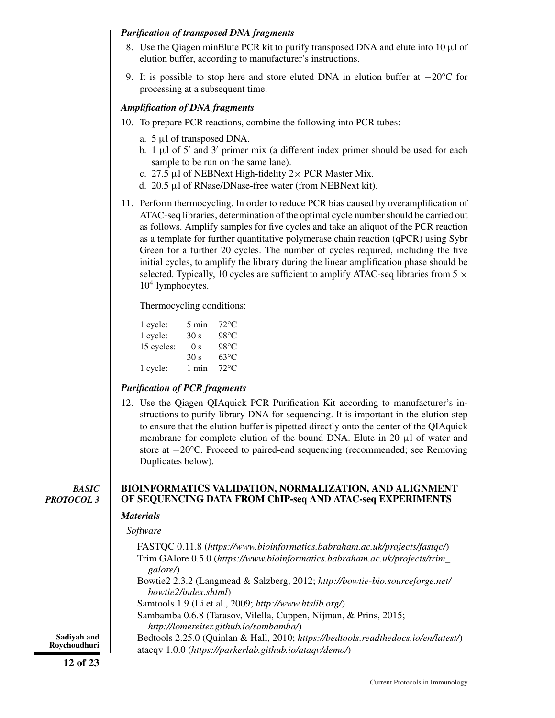# *Purification of transposed DNA fragments*

- 8. Use the Qiagen minElute PCR kit to purify transposed DNA and elute into 10 μl of elution buffer, according to manufacturer's instructions.
- 9. It is possible to stop here and store eluted DNA in elution buffer at  $-20^{\circ}$ C for processing at a subsequent time.

### *Amplification of DNA fragments*

- 10. To prepare PCR reactions, combine the following into PCR tubes:
	- a. 5 μl of transposed DNA.
	- b. 1  $\mu$ l of 5' and 3' primer mix (a different index primer should be used for each sample to be run on the same lane).
	- c. 27.5 μl of NEBNext High-fidelity  $2 \times PCR$  Master Mix.
	- d. 20.5 μl of RNase/DNase-free water (from NEBNext kit).
- 11. Perform thermocycling. In order to reduce PCR bias caused by overamplification of ATAC-seq libraries, determination of the optimal cycle number should be carried out as follows. Amplify samples for five cycles and take an aliquot of the PCR reaction as a template for further quantitative polymerase chain reaction (qPCR) using Sybr Green for a further 20 cycles. The number of cycles required, including the five initial cycles, to amplify the library during the linear amplification phase should be selected. Typically, 10 cycles are sufficient to amplify ATAC-seq libraries from  $5 \times$  $10<sup>4</sup>$  lymphocytes.

Thermocycling conditions:

| 1 cycle:   | 5 min           | $72^{\circ}C$  |
|------------|-----------------|----------------|
| 1 cycle:   | 30 <sub>s</sub> | 98°C           |
| 15 cycles: | 10 <sub>s</sub> | $98^{\circ}$ C |
|            | 30 <sub>s</sub> | $63^{\circ}$ C |
| 1 cycle:   | 1 min           | $72^{\circ}$ C |
|            |                 |                |

# *Purification of PCR fragments*

12. Use the Qiagen QIAquick PCR Purification Kit according to manufacturer's instructions to purify library DNA for sequencing. It is important in the elution step to ensure that the elution buffer is pipetted directly onto the center of the QIAquick membrane for complete elution of the bound DNA. Elute in 20 μl of water and store at −20°C. Proceed to paired-end sequencing (recommended; see Removing Duplicates below).

*BASIC PROTOCOL 3*

### **BIOINFORMATICS VALIDATION, NORMALIZATION, AND ALIGNMENT OF SEQUENCING DATA FROM ChIP-seq AND ATAC-seq EXPERIMENTS**

### *Materials*

#### *Software*

FASTQC 0.11.8 (*<https://www.bioinformatics.babraham.ac.uk/projects/fastqc/>*) Trim GAlore 0.5.0 (*[https://www.bioinformatics.babraham.ac.uk/projects/trim\\_](https://www.bioinformatics.babraham.ac.uk/projects/trim_galore/) [galore/](https://www.bioinformatics.babraham.ac.uk/projects/trim_galore/)*)

Bowtie2 2.3.2 (Langmead & Salzberg, 2012; *[http://bowtie-bio.sourceforge.net/](http://bowtie-bio.sourceforge.net/bowtie2/index.shtml) [bowtie2/index.shtml](http://bowtie-bio.sourceforge.net/bowtie2/index.shtml)*)

Samtools 1.9 (Li et al., 2009; *<http://www.htslib.org/>*)

Sambamba 0.6.8 (Tarasov, Vilella, Cuppen, Nijman, & Prins, 2015; *<http://lomereiter.github.io/sambamba/>*)

Bedtools 2.25.0 (Quinlan & Hall, 2010; *<https://bedtools.readthedocs.io/en/latest/>*) atacqv 1.0.0 (*<https://parkerlab.github.io/ataqv/demo/>*)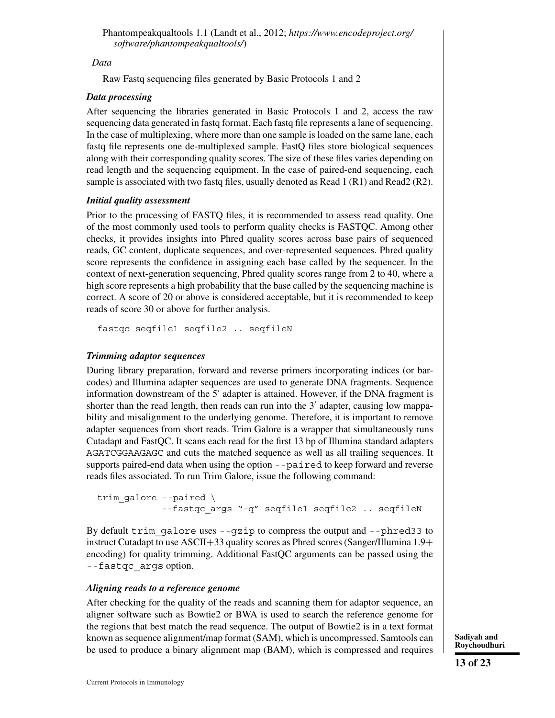### *Data*

Raw Fastq sequencing files generated by Basic Protocols 1 and 2

### *Data processing*

After sequencing the libraries generated in Basic Protocols 1 and 2, access the raw sequencing data generated in fastq format. Each fastq file represents a lane of sequencing. In the case of multiplexing, where more than one sample is loaded on the same lane, each fastq file represents one de-multiplexed sample. FastQ files store biological sequences along with their corresponding quality scores. The size of these files varies depending on read length and the sequencing equipment. In the case of paired-end sequencing, each sample is associated with two fastq files, usually denoted as Read 1 (R1) and Read2 (R2).

### *Initial quality assessment*

Prior to the processing of FASTQ files, it is recommended to assess read quality. One of the most commonly used tools to perform quality checks is FASTQC. Among other checks, it provides insights into Phred quality scores across base pairs of sequenced reads, GC content, duplicate sequences, and over-represented sequences. Phred quality score represents the confidence in assigning each base called by the sequencer. In the context of next-generation sequencing, Phred quality scores range from 2 to 40, where a high score represents a high probability that the base called by the sequencing machine is correct. A score of 20 or above is considered acceptable, but it is recommended to keep reads of score 30 or above for further analysis.

fastqc seqfile1 seqfile2 .. seqfileN

# *Trimming adaptor sequences*

During library preparation, forward and reverse primers incorporating indices (or barcodes) and Illumina adapter sequences are used to generate DNA fragments. Sequence information downstream of the  $5'$  adapter is attained. However, if the DNA fragment is shorter than the read length, then reads can run into the  $3'$  adapter, causing low mappability and misalignment to the underlying genome. Therefore, it is important to remove adapter sequences from short reads. Trim Galore is a wrapper that simultaneously runs Cutadapt and FastQC. It scans each read for the first 13 bp of Illumina standard adapters AGATCGGAAGAGC and cuts the matched sequence as well as all trailing sequences. It supports paired-end data when using the option --paired to keep forward and reverse reads files associated. To run Trim Galore, issue the following command:

```
trim_galore --paired \
            --fastqc args "-q" seqfile1 seqfile2 .. seqfileN
```
By default trim galore uses  $-\text{qzip}$  to compress the output and  $-\text{phred33}$  to instruct Cutadapt to use ASCII+33 quality scores as Phred scores (Sanger/Illumina 1.9+ encoding) for quality trimming. Additional FastQC arguments can be passed using the --fastqc\_args option.

### *Aligning reads to a reference genome*

After checking for the quality of the reads and scanning them for adaptor sequence, an aligner software such as Bowtie2 or BWA is used to search the reference genome for the regions that best match the read sequence. The output of Bowtie2 is in a text format known as sequence alignment/map format (SAM), which is uncompressed. Samtools can be used to produce a binary alignment map (BAM), which is compressed and requires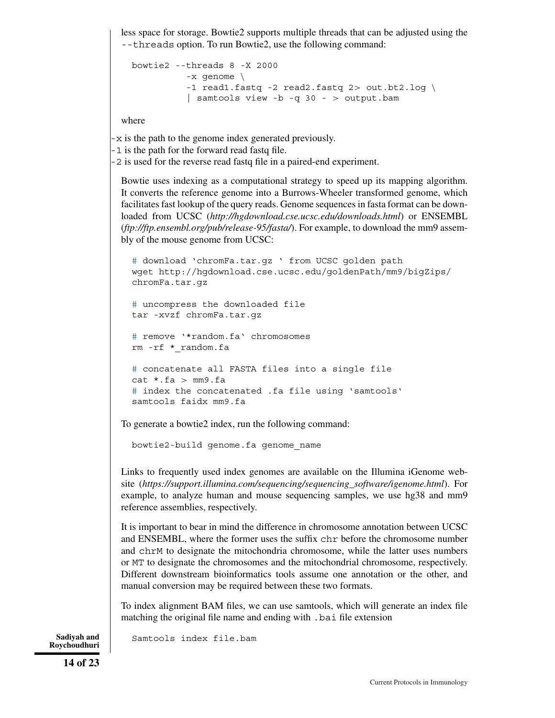less space for storage. Bowtie2 supports multiple threads that can be adjusted using the --threads option. To run Bowtie2, use the following command:

```
bowtie2 --threads 8 -X 2000
          -x genome \
          -1 read1.fastq -2 read2.fastq 2> out.bt2.log \
          | samtools view -b -q 30 - > output.bam
```
where

-x is the path to the genome index generated previously.

-1 is the path for the forward read fastq file.

-2 is used for the reverse read fastq file in a paired-end experiment.

Bowtie uses indexing as a computational strategy to speed up its mapping algorithm. It converts the reference genome into a Burrows-Wheeler transformed genome, which facilitates fast lookup of the query reads. Genome sequences in fasta format can be downloaded from UCSC (*<http://hgdownload.cse.ucsc.edu/downloads.html>*) or ENSEMBL (*[ftp://ftp.ensembl.org/pub/release-95/fasta/](http://ftp://ftp.ensembl.org/pub/release-95/fasta/)*). For example, to download the mm9 assembly of the mouse genome from UCSC:

```
# download 'chromFa.tar.gz ' from UCSC golden path
wget http://hgdownload.cse.ucsc.edu/goldenPath/mm9/bigZips/
chromFa.tar.gz
# uncompress the downloaded file
tar -xvzf chromFa.tar.gz
# remove '*random.fa' chromosomes
rm -rf *_random.fa
# concatenate all FASTA files into a single file
cat \star.fa > mm9.fa
# index the concatenated .fa file using 'samtools'
samtools faidx mm9.fa
```
To generate a bowtie2 index, run the following command:

bowtie2-build genome.fa genome\_name

Links to frequently used index genomes are available on the Illumina iGenome website (*[https://support.illumina.com/sequencing/sequencing\\_software/igenome.html](https://support.illumina.com/sequencing/sequencing_software/igenome.html)*). For example, to analyze human and mouse sequencing samples, we use hg38 and mm9 reference assemblies, respectively.

It is important to bear in mind the difference in chromosome annotation between UCSC and ENSEMBL, where the former uses the suffix chr before the chromosome number and chrM to designate the mitochondria chromosome, while the latter uses numbers or MT to designate the chromosomes and the mitochondrial chromosome, respectively. Different downstream bioinformatics tools assume one annotation or the other, and manual conversion may be required between these two formats.

To index alignment BAM files, we can use samtools, which will generate an index file matching the original file name and ending with .bai file extension

**Roychoudhuri**

Sadiyah and Samtools index file.bam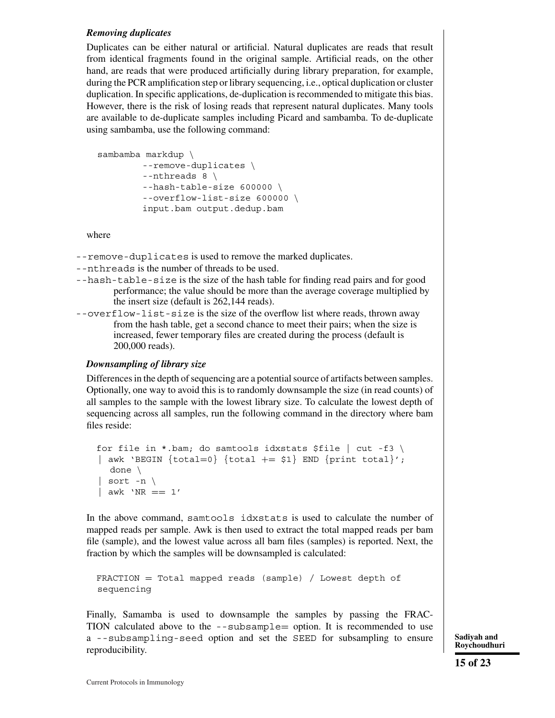#### *Removing duplicates*

Duplicates can be either natural or artificial. Natural duplicates are reads that result from identical fragments found in the original sample. Artificial reads, on the other hand, are reads that were produced artificially during library preparation, for example, during the PCR amplification step or library sequencing, i.e., optical duplication or cluster duplication. In specific applications, de-duplication is recommended to mitigate this bias. However, there is the risk of losing reads that represent natural duplicates. Many tools are available to de-duplicate samples including Picard and sambamba. To de-duplicate using sambamba, use the following command:

```
sambamba markdup \
        --remove-duplicates \
        --nthreads 8 \
        --hash-table-size 600000 \
        --overflow-list-size 600000 \
        input.bam output.dedup.bam
```
where

--remove-duplicates is used to remove the marked duplicates.

- --nthreads is the number of threads to be used.
- --hash-table-size is the size of the hash table for finding read pairs and for good performance; the value should be more than the average coverage multiplied by the insert size (default is 262,144 reads).
- --overflow-list-size is the size of the overflow list where reads, thrown away from the hash table, get a second chance to meet their pairs; when the size is increased, fewer temporary files are created during the process (default is 200,000 reads).

# *Downsampling of library size*

Differences in the depth of sequencing are a potential source of artifacts between samples. Optionally, one way to avoid this is to randomly downsample the size (in read counts) of all samples to the sample with the lowest library size. To calculate the lowest depth of sequencing across all samples, run the following command in the directory where bam files reside:

```
for file in *.bam; do samtools idxstats $file | cut -f3 \
| awk 'BEGIN \{total=0\} \{total + = $1\} END \{print total\}';
  done \
| sort -n \langle\vert awk 'NR == 1'
```
In the above command, samtools idxstats is used to calculate the number of mapped reads per sample. Awk is then used to extract the total mapped reads per bam file (sample), and the lowest value across all bam files (samples) is reported. Next, the fraction by which the samples will be downsampled is calculated:

FRACTION = Total mapped reads (sample) / Lowest depth of sequencing

Finally, Samamba is used to downsample the samples by passing the FRAC-TION calculated above to the  $-$ -subsample  $=$  option. It is recommended to use a --subsampling-seed option and set the SEED for subsampling to ensure reproducibility.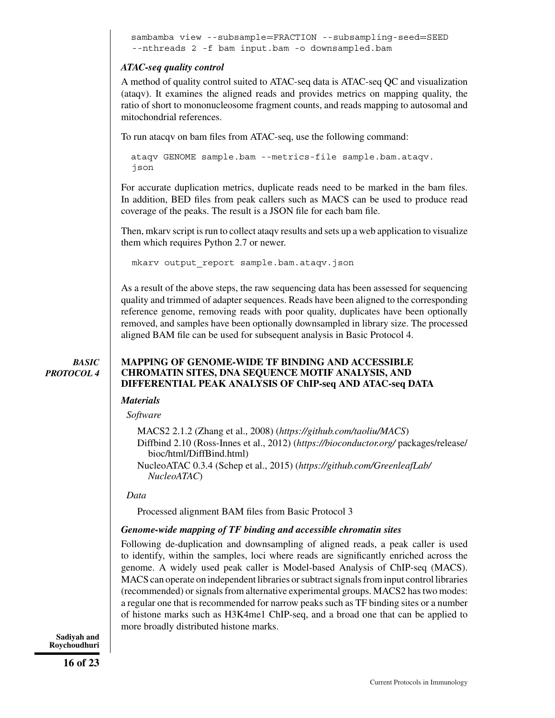```
sambamba view --subsample=FRACTION --subsampling-seed=SEED
--nthreads 2 -f bam input.bam -o downsampled.bam
```
# *ATAC-seq quality control*

A method of quality control suited to ATAC-seq data is ATAC-seq QC and visualization (ataqv). It examines the aligned reads and provides metrics on mapping quality, the ratio of short to mononucleosome fragment counts, and reads mapping to autosomal and mitochondrial references.

To run atacqv on bam files from ATAC-seq, use the following command:

ataqv GENOME sample.bam --metrics-file sample.bam.ataqv. json

For accurate duplication metrics, duplicate reads need to be marked in the bam files. In addition, BED files from peak callers such as MACS can be used to produce read coverage of the peaks. The result is a JSON file for each bam file.

Then, mkarv script is run to collect ataqv results and sets up a web application to visualize them which requires Python 2.7 or newer.

mkarv output\_report sample.bam.ataqv.json

As a result of the above steps, the raw sequencing data has been assessed for sequencing quality and trimmed of adapter sequences. Reads have been aligned to the corresponding reference genome, removing reads with poor quality, duplicates have been optionally removed, and samples have been optionally downsampled in library size. The processed aligned BAM file can be used for subsequent analysis in Basic Protocol 4.

*BASIC PROTOCOL 4*

### **MAPPING OF GENOME-WIDE TF BINDING AND ACCESSIBLE CHROMATIN SITES, DNA SEQUENCE MOTIF ANALYSIS, AND DIFFERENTIAL PEAK ANALYSIS OF ChIP-seq AND ATAC-seq DATA**

### *Materials*

#### *Software*

MACS2 2.1.2 (Zhang et al., 2008) (*<https://github.com/taoliu/MACS>*) Diffbind 2.10 (Ross-Innes et al., 2012) (*<https://bioconductor.org/>* packages/release/ bioc/html/DiffBind.html) NucleoATAC 0.3.4 (Schep et al., 2015) (*[https://github.com/GreenleafLab/](https://github.com/GreenleafLab/NucleoATAC) [NucleoATAC](https://github.com/GreenleafLab/NucleoATAC)*)

#### *Data*

Processed alignment BAM files from Basic Protocol 3

# *Genome-wide mapping of TF binding and accessible chromatin sites*

Following de-duplication and downsampling of aligned reads, a peak caller is used to identify, within the samples, loci where reads are significantly enriched across the genome. A widely used peak caller is Model-based Analysis of ChIP-seq (MACS). MACS can operate on independent libraries or subtract signals from input control libraries (recommended) or signals from alternative experimental groups. MACS2 has two modes: a regular one that is recommended for narrow peaks such as TF binding sites or a number of histone marks such as H3K4me1 ChIP-seq, and a broad one that can be applied to more broadly distributed histone marks.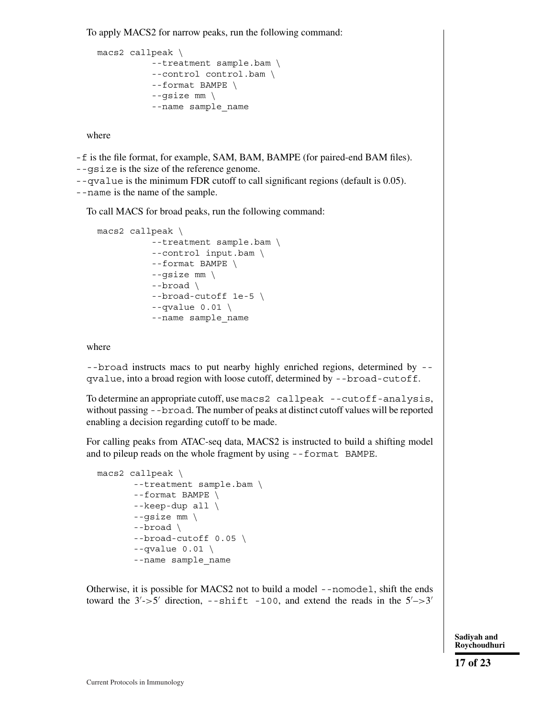To apply MACS2 for narrow peaks, run the following command:

```
macs2 callpeak \
          --treatment sample.bam \
          --control control.bam \
          --format BAMPE \
          --gsize mm \
          --name sample_name
```
where

-f is the file format, for example, SAM, BAM, BAMPE (for paired-end BAM files).

--gsize is the size of the reference genome.

--qvalue is the minimum FDR cutoff to call significant regions (default is 0.05).

--name is the name of the sample.

To call MACS for broad peaks, run the following command:

```
macs2 callpeak \
          --treatment sample.bam \
          --control input.bam \
          --format BAMPE \
          --gsize mm \
          --broad \
          --broad-cutoff 1e-5 \
          --qvalue 0.01 \
          --name sample_name
```
where

--broad instructs macs to put nearby highly enriched regions, determined by - qvalue, into a broad region with loose cutoff, determined by --broad-cutoff.

To determine an appropriate cutoff, use macs2 callpeak --cutoff-analysis, without passing --broad. The number of peaks at distinct cutoff values will be reported enabling a decision regarding cutoff to be made.

For calling peaks from ATAC-seq data, MACS2 is instructed to build a shifting model and to pileup reads on the whole fragment by using --format BAMPE.

```
macs2 callpeak \
       --treatment sample.bam \
       --format BAMPE \
       --keep-dup all \
       -qsize mm \setminus--broad \
       --broad-cutoff 0.05 \
       --qvalue 0.01 \
       --name sample_name
```
Otherwise, it is possible for MACS2 not to build a model --nomodel, shift the ends toward the  $3'$ ->5' direction, --shift -100, and extend the reads in the  $5'$ ->3'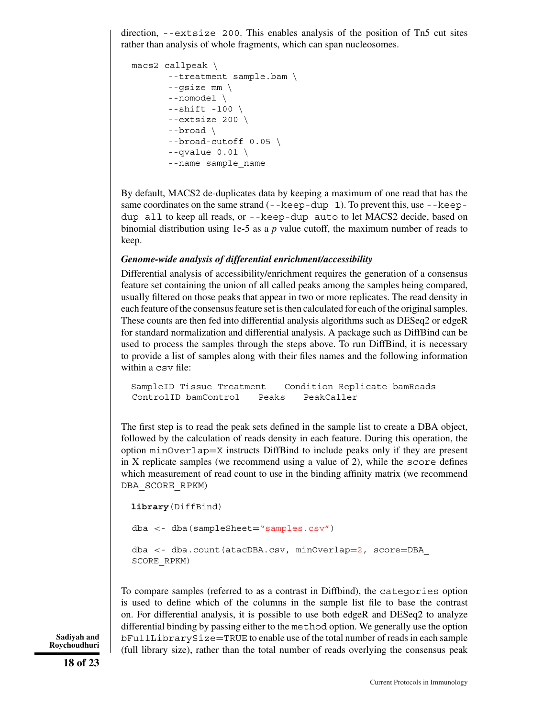direction, --extsize 200. This enables analysis of the position of Tn5 cut sites rather than analysis of whole fragments, which can span nucleosomes.

```
macs2 callpeak \
       --treatment sample.bam \
       --gsize mm \
       --nomodel \
       --shift -100 \ \n\--extsize 200 \
       --broad \
       --broad-cutoff 0.05 \
       --qvalue 0.01 \
       --name sample_name
```
By default, MACS2 de-duplicates data by keeping a maximum of one read that has the same coordinates on the same strand  $(- - \text{keep-dup 1})$ . To prevent this, use  $-\text{keep-dup 1}$ dup all to keep all reads, or --keep-dup auto to let MACS2 decide, based on binomial distribution using 1e-5 as a *p* value cutoff, the maximum number of reads to keep.

### *Genome-wide analysis of differential enrichment/accessibility*

Differential analysis of accessibility/enrichment requires the generation of a consensus feature set containing the union of all called peaks among the samples being compared, usually filtered on those peaks that appear in two or more replicates. The read density in each feature of the consensus feature set is then calculated for each of the original samples. These counts are then fed into differential analysis algorithms such as DESeq2 or edgeR for standard normalization and differential analysis. A package such as DiffBind can be used to process the samples through the steps above. To run DiffBind, it is necessary to provide a list of samples along with their files names and the following information within a csv file:

```
SampleID Tissue Treatment Condition Replicate bamReads
ControlID bamControl Peaks PeakCaller
```
The first step is to read the peak sets defined in the sample list to create a DBA object, followed by the calculation of reads density in each feature. During this operation, the option minOverlap=X instructs DiffBind to include peaks only if they are present in X replicate samples (we recommend using a value of 2), while the score defines which measurement of read count to use in the binding affinity matrix (we recommend DBA\_SCORE\_RPKM)

```
library(DiffBind)
dba <- dba(sampleSheet="samples.csv")
dba <- dba.count(atacDBA.csv, minOverlap=2, score=DBA_
SCORE_RPKM)
```
To compare samples (referred to as a contrast in Diffbind), the categories option is used to define which of the columns in the sample list file to base the contrast on. For differential analysis, it is possible to use both edgeR and DESeq2 to analyze differential binding by passing either to the method option. We generally use the option bFullLibrarySize=TRUE to enable use of the total number of reads in each sample (full library size), rather than the total number of reads overlying the consensus peak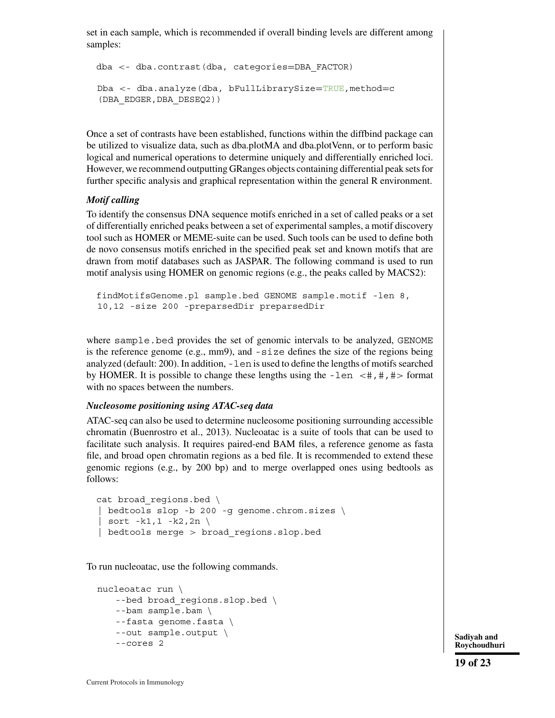set in each sample, which is recommended if overall binding levels are different among samples:

```
dba <- dba.contrast(dba, categories=DBA_FACTOR)
Dba <- dba.analyze(dba, bFullLibrarySize=TRUE,method=c
(DBA_EDGER,DBA_DESEQ2))
```
Once a set of contrasts have been established, functions within the diffbind package can be utilized to visualize data, such as dba.plotMA and dba.plotVenn, or to perform basic logical and numerical operations to determine uniquely and differentially enriched loci. However, we recommend outputting GRanges objects containing differential peak sets for further specific analysis and graphical representation within the general R environment.

#### *Motif calling*

To identify the consensus DNA sequence motifs enriched in a set of called peaks or a set of differentially enriched peaks between a set of experimental samples, a motif discovery tool such as HOMER or MEME-suite can be used. Such tools can be used to define both de novo consensus motifs enriched in the specified peak set and known motifs that are drawn from motif databases such as JASPAR. The following command is used to run motif analysis using HOMER on genomic regions (e.g., the peaks called by MACS2):

```
findMotifsGenome.pl sample.bed GENOME sample.motif -len 8,
10,12 -size 200 -preparsedDir preparsedDir
```
where sample.bed provides the set of genomic intervals to be analyzed, GENOME is the reference genome (e.g.,  $mm9$ ), and  $-size$  defines the size of the regions being analyzed (default: 200). In addition, -len is used to define the lengths of motifs searched by HOMER. It is possible to change these lengths using the  $-\text{len } \lt \#$ ,  $\#$ ,  $\#$  format with no spaces between the numbers.

#### *Nucleosome positioning using ATAC-seq data*

ATAC-seq can also be used to determine nucleosome positioning surrounding accessible chromatin (Buenrostro et al., 2013). Nucleoatac is a suite of tools that can be used to facilitate such analysis. It requires paired-end BAM files, a reference genome as fasta file, and broad open chromatin regions as a bed file. It is recommended to extend these genomic regions (e.g., by 200 bp) and to merge overlapped ones using bedtools as follows:

```
cat broad regions.bed \
| bedtools slop -b 200 -g genome.chrom.sizes \
  sort -k1,1 -k2,2n \setminus| bedtools merge > broad regions.slop.bed
```
To run nucleoatac, use the following commands.

```
nucleoatac run \
   --bed broad regions.slop.bed \
   --bam sample.bam \
   --fasta genome.fasta \
   --out sample.output \
   and the sample cores 2 Sadiyah and<br>--cores 2 Sadiyah and
```
**Roychoudhuri**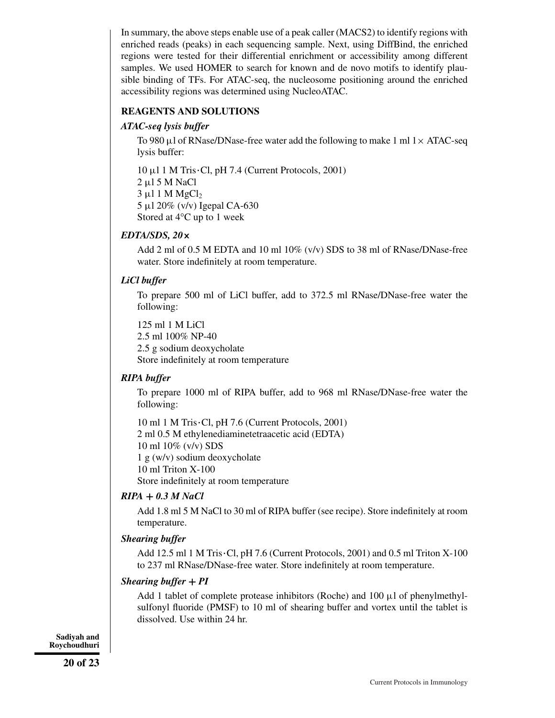In summary, the above steps enable use of a peak caller (MACS2) to identify regions with enriched reads (peaks) in each sequencing sample. Next, using DiffBind, the enriched regions were tested for their differential enrichment or accessibility among different samples. We used HOMER to search for known and de novo motifs to identify plausible binding of TFs. For ATAC-seq, the nucleosome positioning around the enriched accessibility regions was determined using NucleoATAC.

### **REAGENTS AND SOLUTIONS**

### *ATAC-seq lysis buffer*

To 980 μl of RNase/DNase-free water add the following to make 1 ml  $1 \times ATAC$ -seq lysis buffer:

 $10 \mu$ 1 M Tris·Cl, pH 7.4 (Current Protocols, 2001) 2 μl 5 M NaCl  $3 \mu$ 1 M MgCl<sub>2</sub> 5 μl 20% (v/v) Igepal CA-630 Stored at 4°C up to 1 week

### *EDTA/SDS, 20***×**

Add 2 ml of 0.5 M EDTA and 10 ml 10% (v/v) SDS to 38 ml of RNase/DNase-free water. Store indefinitely at room temperature.

### *LiCl buffer*

To prepare 500 ml of LiCl buffer, add to 372.5 ml RNase/DNase-free water the following:

125 ml 1 M LiCl 2.5 ml 100% NP-40 2.5 g sodium deoxycholate Store indefinitely at room temperature

### *RIPA buffer*

To prepare 1000 ml of RIPA buffer, add to 968 ml RNase/DNase-free water the following:

 $10 \text{ ml } 1 \text{ M Tris }$  Cl, pH 7.6 (Current Protocols, 2001) 2 ml 0.5 M ethylenediaminetetraacetic acid (EDTA) 10 ml 10% (v/v) SDS 1 g (w/v) sodium deoxycholate 10 ml Triton X-100 Store indefinitely at room temperature

#### *RIPA* **+** *0.3 M NaCl*

Add 1.8 ml 5 M NaCl to 30 ml of RIPA buffer (see recipe). Store indefinitely at room temperature.

#### *Shearing buffer*

Add 12.5 ml 1 M Tris $\cdot$ Cl, pH 7.6 (Current Protocols, 2001) and 0.5 ml Triton X-100 to 237 ml RNase/DNase-free water. Store indefinitely at room temperature.

#### *Shearing buffer* **+** *PI*

Add 1 tablet of complete protease inhibitors (Roche) and  $100 \mu$ l of phenylmethylsulfonyl fluoride (PMSF) to 10 ml of shearing buffer and vortex until the tablet is dissolved. Use within 24 hr.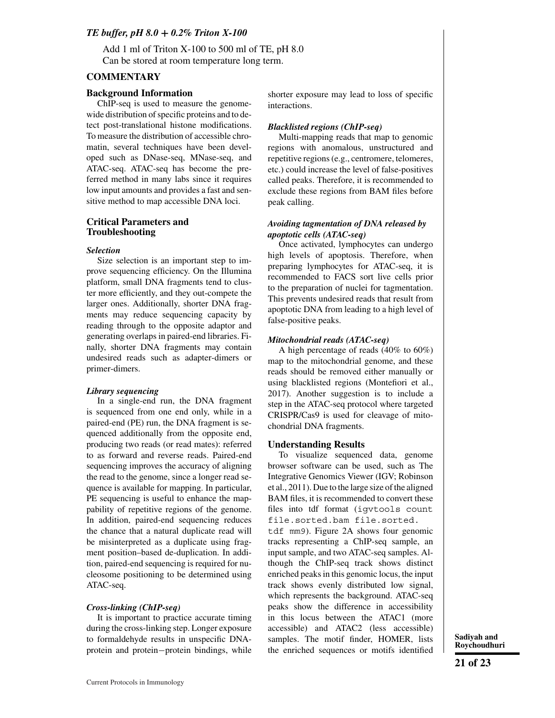#### *TE buffer, pH 8.0* **+** *0.2% Triton X-100*

Add 1 ml of Triton X-100 to 500 ml of TE, pH 8.0 Can be stored at room temperature long term.

#### **COMMENTARY**

#### **Background Information**

ChIP-seq is used to measure the genomewide distribution of specific proteins and to detect post-translational histone modifications. To measure the distribution of accessible chromatin, several techniques have been developed such as DNase-seq, MNase-seq, and ATAC-seq. ATAC-seq has become the preferred method in many labs since it requires low input amounts and provides a fast and sensitive method to map accessible DNA loci.

#### **Critical Parameters and Troubleshooting**

#### *Selection*

Size selection is an important step to improve sequencing efficiency. On the Illumina platform, small DNA fragments tend to cluster more efficiently, and they out-compete the larger ones. Additionally, shorter DNA fragments may reduce sequencing capacity by reading through to the opposite adaptor and generating overlaps in paired-end libraries. Finally, shorter DNA fragments may contain undesired reads such as adapter-dimers or primer-dimers.

#### *Library sequencing*

In a single-end run, the DNA fragment is sequenced from one end only, while in a paired-end (PE) run, the DNA fragment is sequenced additionally from the opposite end, producing two reads (or read mates): referred to as forward and reverse reads. Paired-end sequencing improves the accuracy of aligning the read to the genome, since a longer read sequence is available for mapping. In particular, PE sequencing is useful to enhance the mappability of repetitive regions of the genome. In addition, paired-end sequencing reduces the chance that a natural duplicate read will be misinterpreted as a duplicate using fragment position–based de-duplication. In addition, paired-end sequencing is required for nucleosome positioning to be determined using ATAC-seq.

#### *Cross-linking (ChIP-seq)*

It is important to practice accurate timing during the cross-linking step. Longer exposure to formaldehyde results in unspecific DNAprotein and protein−protein bindings, while shorter exposure may lead to loss of specific interactions.

#### *Blacklisted regions (ChIP-seq)*

Multi-mapping reads that map to genomic regions with anomalous, unstructured and repetitive regions (e.g., centromere, telomeres, etc.) could increase the level of false-positives called peaks. Therefore, it is recommended to exclude these regions from BAM files before peak calling.

#### *Avoiding tagmentation of DNA released by apoptotic cells (ATAC-seq)*

Once activated, lymphocytes can undergo high levels of apoptosis. Therefore, when preparing lymphocytes for ATAC-seq, it is recommended to FACS sort live cells prior to the preparation of nuclei for tagmentation. This prevents undesired reads that result from apoptotic DNA from leading to a high level of false-positive peaks.

#### *Mitochondrial reads (ATAC-seq)*

A high percentage of reads (40% to 60%) map to the mitochondrial genome, and these reads should be removed either manually or using blacklisted regions (Montefiori et al., 2017). Another suggestion is to include a step in the ATAC-seq protocol where targeted CRISPR/Cas9 is used for cleavage of mitochondrial DNA fragments.

#### **Understanding Results**

To visualize sequenced data, genome browser software can be used, such as The Integrative Genomics Viewer (IGV; Robinson et al., 2011). Due to the large size of the aligned BAM files, it is recommended to convert these files into tdf format (igvtools count file.sorted.bam file.sorted.

tdf mm9). Figure 2A shows four genomic tracks representing a ChIP-seq sample, an input sample, and two ATAC-seq samples. Although the ChIP-seq track shows distinct enriched peaks in this genomic locus, the input track shows evenly distributed low signal, which represents the background. ATAC-seq peaks show the difference in accessibility in this locus between the ATAC1 (more accessible) and ATAC2 (less accessible) samples. The motif finder, HOMER, lists the enriched sequences or motifs identified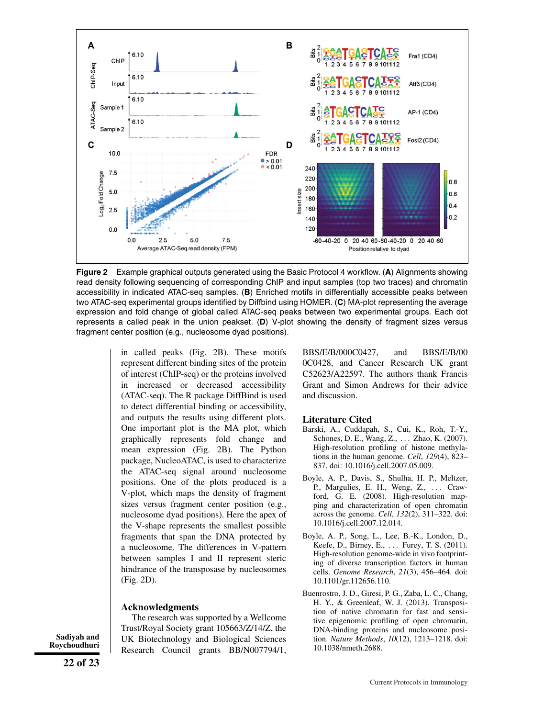

**Figure 2** Example graphical outputs generated using the Basic Protocol 4 workflow. (**A**) Alignments showing read density following sequencing of corresponding ChIP and input samples (top two traces) and chromatin accessibility in indicated ATAC-seq samples. (**B**) Enriched motifs in differentially accessible peaks between two ATAC-seq experimental groups identified by Diffbind using HOMER. (**C**) MA-plot representing the average expression and fold change of global called ATAC-seq peaks between two experimental groups. Each dot represents a called peak in the union peakset. (**D**) V-plot showing the density of fragment sizes versus fragment center position (e.g., nucleosome dyad positions).

in called peaks (Fig. 2B). These motifs represent different binding sites of the protein of interest (ChIP-seq) or the proteins involved in increased or decreased accessibility (ATAC-seq). The R package DiffBind is used to detect differential binding or accessibility, and outputs the results using different plots. One important plot is the MA plot, which graphically represents fold change and mean expression (Fig. 2B). The Python package, NucleoATAC, is used to characterize the ATAC-seq signal around nucleosome positions. One of the plots produced is a V-plot, which maps the density of fragment sizes versus fragment center position (e.g., nucleosome dyad positions). Here the apex of the V-shape represents the smallest possible fragments that span the DNA protected by a nucleosome. The differences in V-pattern between samples I and II represent steric hindrance of the transposase by nucleosomes (Fig. 2D).

#### **Acknowledgments**

The research was supported by a Wellcome Trust/Royal Society grant 105663/Z/14/Z, the UK Biotechnology and Biological Sciences Research Council grants BB/N007794/1, BBS/E/B/000C0427, and BBS/E/B/00 0C0428, and Cancer Research UK grant C52623/A22597. The authors thank Francis Grant and Simon Andrews for their advice and discussion.

#### **Literature Cited**

- Barski, A., Cuddapah, S., Cui, K., Roh, T.-Y., Schones, D. E., Wang, Z., . . . Zhao, K. (2007). High-resolution profiling of histone methylations in the human genome. *Cell*, *129*(4), 823– 837. doi: [10.1016/j.cell.2007.05.009.](http://doi.org/10.1016/j.cell.2007.05.009)
- Boyle, A. P., Davis, S., Shulha, H. P., Meltzer, P., Margulies, E. H., Weng, Z., ... Crawford, G. E. (2008). High-resolution mapping and characterization of open chromatin across the genome. *Cell*, *132*(2), 311–322. doi: [10.1016/j.cell.2007.12.014.](http://doi.org/10.1016/j.cell.2007.12.014)
- Boyle, A. P., Song, L., Lee, B.-K., London, D., Keefe, D., Birney, E., . . . Furey, T. S. (2011). High-resolution genome-wide in vivo footprinting of diverse transcription factors in human cells. *Genome Research*, *21*(3), 456–464. doi: [10.1101/gr.112656.110.](http://doi.org/10.1101/gr.112656.110)
- Buenrostro, J. D., Giresi, P. G., Zaba, L. C., Chang, H. Y., & Greenleaf, W. J. (2013). Transposition of native chromatin for fast and sensitive epigenomic profiling of open chromatin, DNA-binding proteins and nucleosome position. *Nature Methods*, *10*(12), 1213–1218. doi: [10.1038/nmeth.2688.](http://doi.org/10.1038/nmeth.2688)